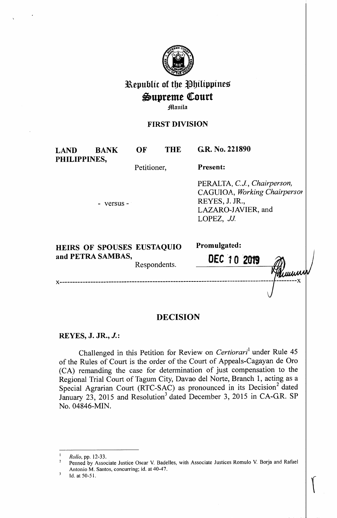

# **l\epublic of tbe i}bilippines**   $\mathfrak{Supreme}$  Court

**Manila** 

## **FIRST DIVISION**

**LAND BANK PHILIPPINES,** 

**OF THE GR. No. 221890** 

Petitioner, **Present:** 

- versus -

PERALTA, *C.J., Chairperson,*  CAGUIOA, *Working Chairpersm*  REYES, J. JR., LAZARO-JAVIER, and LOPEZ, *JJ.* 

 $\begin{bmatrix} \phantom{-} \end{bmatrix}$ 

| <b>HEIRS OF SPOUSES EUSTAQUIO</b> |              | Promulgated: |                         |
|-----------------------------------|--------------|--------------|-------------------------|
| and PETRA SAMBAS,                 | Respondents. | DEC 10 2019  | $\widehat{\mathscr{D}}$ |
|                                   |              |              | Hammur                  |

### x-----------------------------------------------------------------------------------~--------x

# **DECISION**

# **REYES, J. JR., J.:**

Challenged in this Petition for Review on *Certiorari*<sup>1</sup> under Rule 45 of the Rules of Court is the order of the Court of Appeals-Cagayan de Oro (CA) remanding the case for determination of just compensation to the Regional Trial Court of Tagum City, Davao del Norte, Branch 1, acting as a Special Agrarian Court (RTC-SAC) as pronounced in its Decision<sup>2</sup> dated January 23, 2015 and Resolution<sup>3</sup> dated December 3, 2015 in CA-G.R. SP No. 04846-MIN.

<sup>1</sup>*Rollo,* pp. 12-33.

<sup>2</sup>Penned by Associate Justice Oscar V. Badelles, with Associate Justices Romulo V. Borja and Rafael Antonio M. Santos, concurring; id. at 40-47.<br>
Id. at 50-51.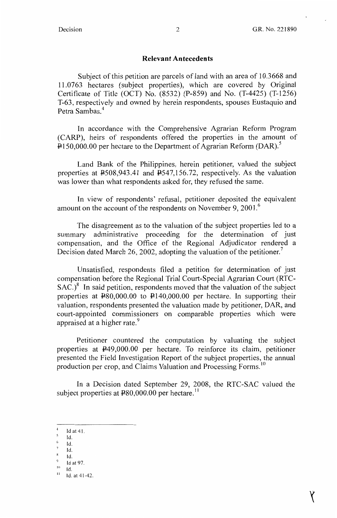**X** 

#### **Relevant Antecedents**

Subject of this petition are parcels of land with an area of 10.3668 and 11.0763 hectares (subject properties), which are covered by Original Certificate of Title (OCT) No. (8532) (P-859) and No. (T-4425) (T-1256) T-63, respectively and owned by herein respondents, spouses Eustaquio and Petra Sambas.<sup>4</sup>

In accordance with the Comprehensive Agrarian Reform Program (CARP), heirs of respondents offered the properties in the amount of  $\text{P150,000.00}$  per hectare to the Department of Agrarian Reform (DAR).<sup>5</sup>

Land Bank of the Philippines, herein petitioner, valued the subject properties at P508,943.41 and P547,156.72, respectively. As the valuation was lower than what respondents asked for, they refused the same.

In view of respondents' refusal, petitioner deposited the equivalent amount on the account of the respondents on November 9, 2001.<sup>6</sup>

The disagreement as to the valuation of the subject properties led to a summary administrative proceeding for the determination of just compensation, and the Office of the Regional Adjudicator rendered a Decision dated March 26, 2002, adopting the valuation of the petitioner.<sup> $\prime$ </sup>

Unsatisfied, respondents filed a petition for determination of just compensation before the Regional Trial Court-Special Agrarian Court (RTC- $SAC.$ <sup>8</sup> In said petition, respondents moved that the valuation of the subject properties at  $\text{\textsterling}80,000.00$  to  $\text{\textsterling}140,000.00$  per hectare. In supporting their valuation, respondents presented the valuation made by petitioner, DAR, and court-appointed commissioners on comparable properties which were appraised at a higher rate.<sup>9</sup>

Petitioner countered the computation by valuating the subject properties at P49,000.00 per hectare. To reinforce its claim, petitioner presented the Field Investigation Report of the subject properties, the annual production per crop, and Claims Valuation and Processing Forms.<sup>10</sup>

In a Decision dated September 29, 2008, the **RTC-SAC** valued the subject properties at  $480,000.00$  per hectare.<sup>11</sup>

- Id.
- $6$  Id.
- Id.

Id at 41.

Id.

 $\frac{9}{10}$  Id at 97.<br>
11 Id. at 41-42.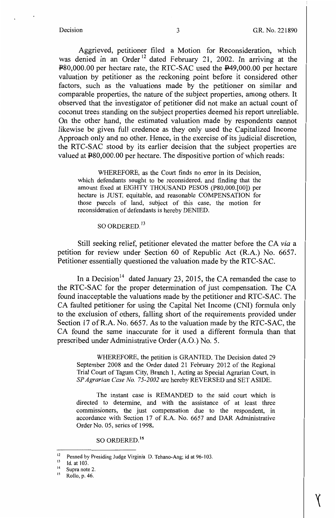Aggrieved, petitioner filed a Motion for Reconsideration, which was denied in an Order<sup>12</sup> dated February 21, 2002. In arriving at the P80,000.00 per hectare rate, the RTC-SAC used the P49,000.00 per hectare valuation by petitioner as the reckoning point before it considered other factors, such as the valuations made by the petitioner on similar and comparable properties, the nature of the subject properties, among others. It observed that the investigator of petitioner did not make an actual count of coconut trees standing on the subject properties deemed his report unreliable. On the other hand, the estimated valuation made by respondents cannot likewise be given full credence as they only used the Capitalized Income Approach only and no other. Hence, in the exercise of its judicial discretion, the RTC-SAC stood by its earlier decision that the subject properties are valued at  $\text{\texttt{P80,000.00}}$  per hectare. The dispositive portion of which reads:

WHEREFORE, as the Court finds no error in its Decision, which defendants sought to be reconsidered, and finding that the amount fixed at EIGHTY THOUSAND PESOS (P80,000.[00]) per hectare is JUST, equitable, and reasonable COMPENSATION for those parcels of land, subject of this case, the motion for reconsideration of defendants is hereby DENIED.

SO ORDERED.<sup>13</sup>

Still seeking relief, petitioner elevated the matter before the CA *via* <sup>a</sup> petition for review under Section 60 of Republic Act (R.A.) No. 6657. Petitioner essentially questioned the valuation made by the RTC-SAC.

In a Decision<sup>14</sup> dated January 23, 2015, the CA remanded the case to the RTC-SAC for the proper determination of just compensation. The CA found inacceptable the valuations made by the petitioner and RTC-SAC. The CA faulted petitioner for using the Capital Net Income (CNI) formula only to the exclusion of others, falling short of the requirements provided under Section 17 ofR.A. No. 6657. As to the valuation made by the RTC-SAC, the CA found the same inaccurate for it used a different formula than that prescribed under Administrative Order (A.O.) No. 5.

WHEREFORE, the petition is GRANTED. The Decision dated 29 September 2008 and the Order dated 21 February 2012 of the Regional Trial Court of Tagum City, Branch 1, Acting as Special Agrarian Court, in *SP Agrarian Case No. 75-2002* are hereby REVERSED and SET ASIDE.

The instant case is REMANDED to the said court which is directed to determine, and with the assistance of at least three commissioners, the just compensation due to the respondent, in accordance with Section 17 of R.A. No. 6657 and DAR Administrative Order No. 05, series of 1998.

so ORDERED. <sup>15</sup>

<sup>&</sup>lt;sup>12</sup> Penned by Presiding Judge Virginia D. Tehano-Ang; id at 96-103.<br><sup>13</sup> Id. at 103.<br><sup>14</sup> Supra note 2.<br><sup>15</sup> Rollo n. 46

Rollo, p. 46.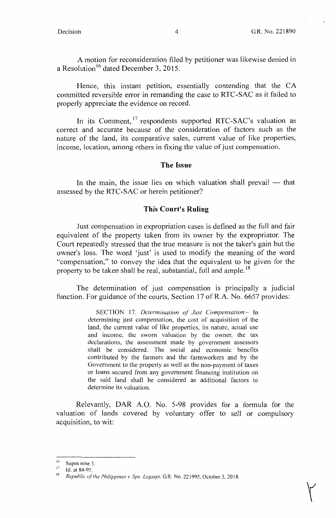$Y$ 

A motion for reconsideration filed by petitioner was likewise denied in a Resolution<sup>16</sup> dated December 3, 2015.

Hence, this instant petition, essentially contending that the CA committed reversible error in remanding the case to RTC-SAC as it failed to properly appreciate the evidence on record.

In its Comment, <sup>17</sup> respondents supported RTC-SAC's valuation as correct and accurate because of the consideration of factors such as the nature of the land, its comparative sales, current value of like properties, income, location, among others in fixing the value of just compensation.

#### **The Issue**

In the main, the issue lies on which valuation shall prevail  $-$  that assessed by the RTC-SAC or herein petitioner?

#### **This Court's Ruling**

Just compensation in expropriation cases is defined as the full and fair equivalent of the property taken from its owner by the expropriator. The Court repeatedly stressed that the true measure is not the taker's gain but the owner's loss. The word 'just' is used to modify the meaning of the word "compensation," to convey the idea that the equivalent to be given for the property to be taken shall be real, substantial, full and ample.<sup>18</sup>

The determination of just compensation is principally a judicial function. For guidance of the courts, Section 17 of **R.A.** No. 6657 provides:

> SECTION 17. *Determination of Just Compensation.-* In determining just compensation, the cost of acquisition of the land, the current value of like properties, its nature, actual use and income, the sworn valuation by the owner, the tax declarations, the assessment made by government assessors shall be considered. The social and economic benefits contributed by the farmers and the farmworkers and by the Government to the property as well as the non-payment of taxes or loans secured from any government financing institution on the said land shall be considered as additional factors to determine its valuation.

Relevantly, DAR A.O. No. 5-98 provides for a formula for the valuation of lands covered by voluntary offer to sell or compulsory acquisition, to wit:

 $^{16}$  Supra note 3.

Id. at 84-95.

<sup>18</sup>*Republic of the Philippines v. Sps. Legaspi,* GR. No. 221995, October 3, 2018.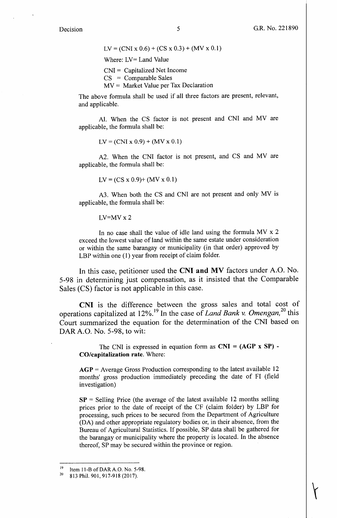$\overleftarrow{r}$ 

 $LV = (CNI \times 0.6) + (CS \times 0.3) + (MV \times 0.1)$ Where: LV= Land Value CNI = Capitalized Net Income  $CS = Comparable Sales$  $MV = Market Value per Tax Declaration$ 

The above formula shall be used if all three factors are present, relevant, and applicable.

Al. When the CS factor is not present and CNI and MV are applicable, the formula shall be:

 $LV = (CNI \times 0.9) + (MV \times 0.1)$ 

A2. When the CNI factor is not present, and CS and MV are applicable, the formula shall be:

 $LV = (CS x 0.9) + (MV x 0.1)$ 

A3. When both the CS and CNI are not present and only MV is applicable, the formula shall be:

 $LV=MVx2$ 

In no case shall the value of idle land using the formula MV x 2 exceed the lowest value of land within the same estate under consideration or within the same barangay or municipality (in that order) approved by LBP within one (1) year from receipt of claim folder.

In this case, petitioner used the **CNI and MV** factors under A.O. No. 5-98 in determining just compensation, as it insisted that the Comparable Sales (CS) factor is not applicable in this case.

**CNI** is the difference between the gross sales and total cost of operations capitalized at 12%.<sup>19</sup> In the case of *Land Bank v. Omengan*,<sup>20</sup> this Court summarized the equation for the determination of the CNI based on DAR A.O. No. 5-98, to wit:

The CNI is expressed in equation form as **CNI** = **(AGP x SP)** - **CO/capitalization rate.** Where:

AGP = Average Gross Production corresponding to the latest available 12 months' gross production immediately preceding the date of FI (field investigation)

 $SP =$  Selling Price (the average of the latest available 12 months selling prices prior to the date of receipt of the CF ( claim folder) by LBP for processing, such prices to be secured from the Department of Agriculture (DA) and other appropriate regulatory bodies or, in their absence, from the Bureau of Agricultural Statistics. If possible, SP data shall be gathered for the barangay or municipality where the property is located. In the absence thereof, SP may be secured within the province or region.

<sup>&</sup>lt;sup>19</sup> Item 11-B of DAR A.O. No. 5-98.<br><sup>20</sup> 813 Phil. 901, 917-918 (2017).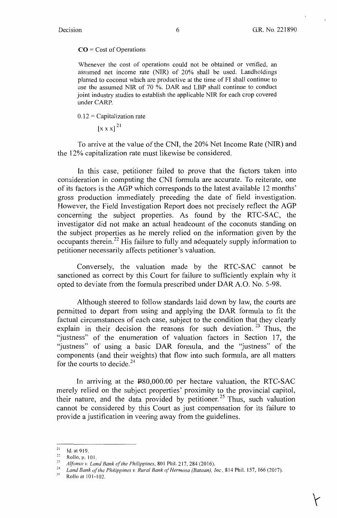$\overleftarrow{ }$ 

#### **CO** = Cost of Operations

Whenever the cost of operations could not be obtained or verified, an assumed net income rate (NIR) of 20% shall be used. Landholdings planted to coconut which are productive at the time of FI shall continue to use the assumed NIR of 70 %. DAR and LBP shall continue to conduct joint industry studies to establish the applicable NIR for each crop covered under CARP.

 $0.12$  = Capitalization rate

 $\left[x \times x\right]^{21}$ 

To arrive at the value of the CNI, the 20% Net Income Rate (NIR) and the 12% capitalization rate must likewise be considered.

In this case, petitioner failed to prove that the factors taken into consideration in computing the CNI formula are accurate. To reiterate, one of its factors is the AGP which corresponds to the latest available 12 months' gross production immediately preceding the date of field investigation. However, the Field Investigation Report does not precisely reflect the AGP concerning the subject properties. As found by the RTC-SAC, the investigator did not make an actual headcount of the coconuts standing on the subject properties as he merely relied on the information given by the occupants therein.<sup>22</sup> His failure to fully and adequately supply information to petitioner necessarily affects petitioner's valuation.

Conversely, the valuation made by the RTC-SAC cannot be sanctioned as correct by this Court for failure to sufficiently explain why it opted to deviate from the formula prescribed under DAR A.O. No. 5-98.

Although steered to follow standards laid down by law, the courts are permitted to depart from using and applying the DAR formula to fit the factual circumstances of each case, subject to the condition that they clearly explain in their decision the reasons for such deviation.<sup>23</sup> Thus, the "justness" of the enumeration of valuation factors in Section 17, the "justness" of using a basic DAR formula, and the "justness" of the components ( and their weights) that flow into such formula, are all matters for the courts to decide. $24$ 

In arriving at the  $\text{\texttt{P80,000.00}}$  per hectare valuation, the RTC-SAC merely relied on the subject properties' proximity to the provincial capitol, their nature, and the data provided by petitioner.<sup>25</sup> Thus, such valuation cannot be considered by this Court as just compensation for its failure to provide a justification in veering away from the guidelines.

 $21$  Id. at 919.

 $\frac{22}{23}$  Rollo, p. 101.

<sup>&</sup>lt;sup>23</sup> Alfonso v. Land Bank of the Philippines, 801 Phil. 217, 284 (2016).<br><sup>24</sup> *Land Bank of the Philippines v. Rural Bank of Hermosa (Bataan), Inc., 814 Phil. 157, 166 (2017).*<br><sup>25</sup> Polle at 101, 102

<sup>&#</sup>x27; Rollo at 101-102.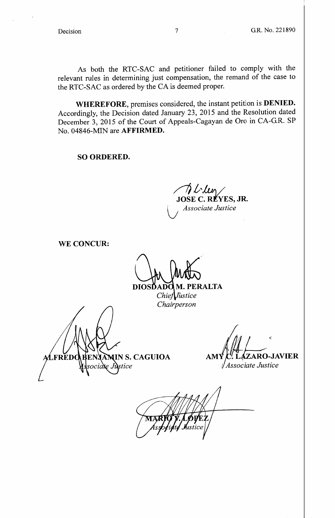As both the RTC-SAC and petitioner failed to comply with the relevant rules in determining just compensation, the remand of the case to the RTC-SAC as ordered by the CA is deemed proper.

**WHEREFORE,** premises considered, the instant petition is **DENIED.**  Accordingly, the Decision dated January 23, 2015 and the Resolution dated December 3, 2015 of the Court of Appeals-Cagayan de Oro in CA-G.R. SP No. 04846-MIN are **AFFIRMED.** 

**SO ORDERED.** 

*/7).l,il\_v\/*  **JOSE C. Rf YES, JR.**  lJ *Associate Justice* 

**WE CONCUR:** 

DIOSDADO M. PERALTA

 $Chie**f** *Jüstice*$ *Chairperson* 

AMIN S. CAGUIOA **FRED** cia**te Ju**stice

 $\eta$   $\eta$ *ZARO-JAVIER* **AMY** 

*Associate Justice*